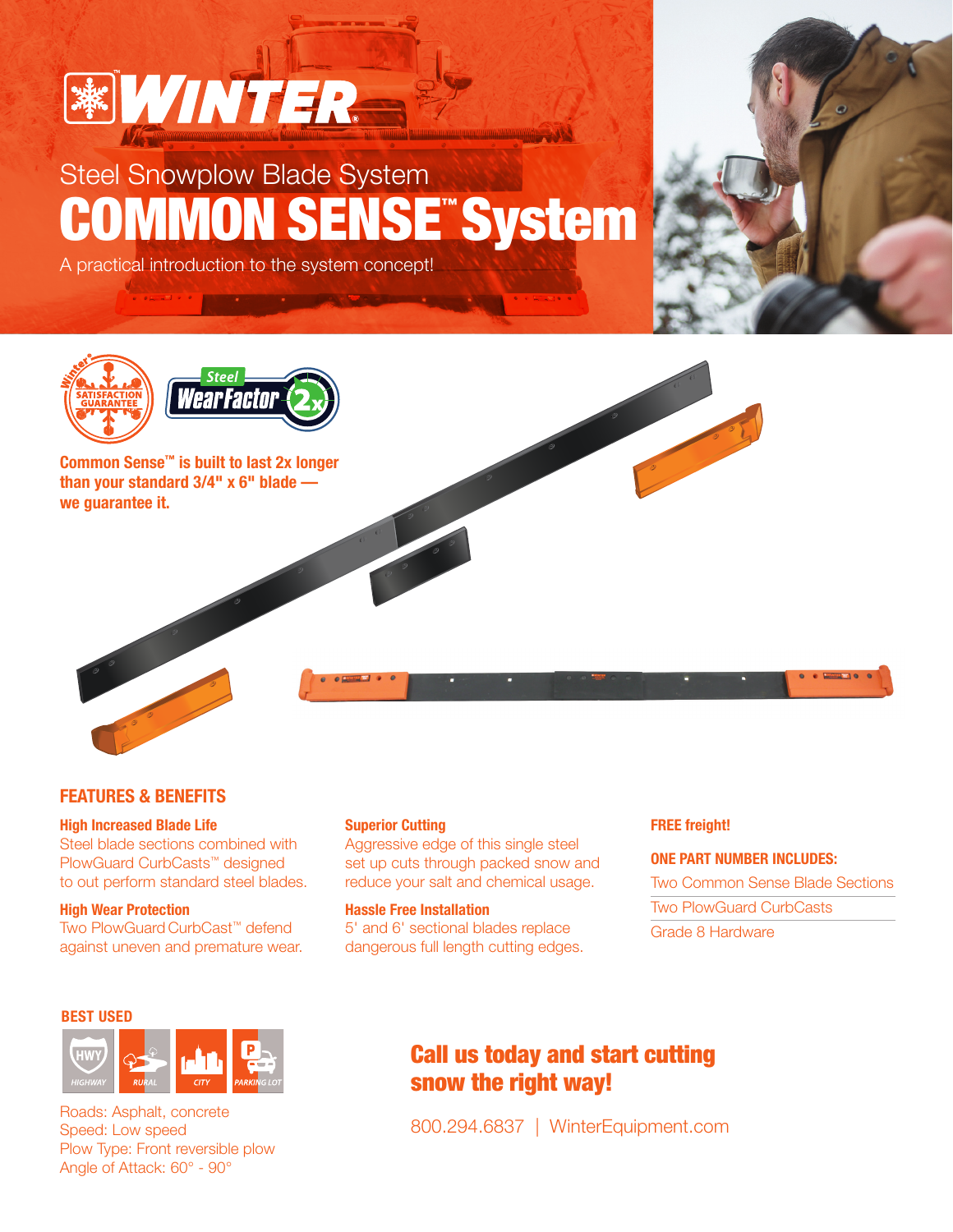

## Steel Snowplow Blade System COMMON SENSE™System

A practical introduction to the system concept!





Common Sense™ is built to last 2x longer than your standard 3/4" x 6" blade we guarantee it.

## FEATURES & BENEFITS

#### High Increased Blade Life

Steel blade sections combined with PlowGuard CurbCasts™ designed to out perform standard steel blades.

High Wear Protection Two PlowGuard CurbCast™ defend against uneven and premature wear.

## BEST USED



Roads: Asphalt, concrete Speed: Low speed Plow Type: Front reversible plow Angle of Attack: 60° - 90°

#### Superior Cutting

Aggressive edge of this single steel set up cuts through packed snow and reduce your salt and chemical usage.

### Hassle Free Installation

5' and 6' sectional blades replace dangerous full length cutting edges.

#### FREE freight!

## ONE PART NUMBER INCLUDES:

Two Common Sense Blade Sections Two PlowGuard CurbCasts Grade 8 Hardware

## Call us today and start cutting snow the right way!

800.294.6837 | WinterEquipment.com